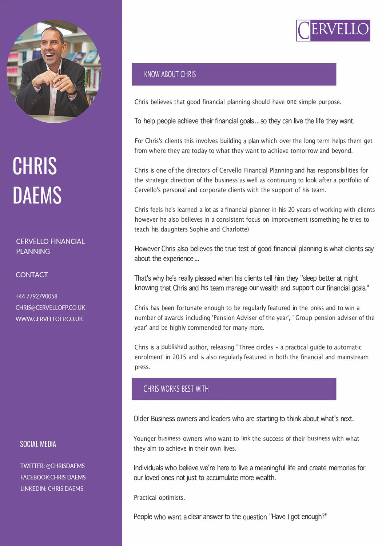

# **CHRIS DAEMS**

### **CERVELLO FINANCIAL PLANNING**

**CONTACT** 

+44 7792790058 CHRIS@CERVELLOFP.CO.UK WWW.CERVELLOFP.CO.UK

# SOCIAL MEDIA

**TWITTER: @CHRISDAEMS FACEBOOK:CHRIS DAEMS LINKEDIN: CHRIS DAEMS** 

# KNOW ABOUT CHRIS

Chris believes that good financial planning should have one simple purpose.

To help people achieve their financial goals ... so they can live the life they want.

For Chris's clients this involves building a plan which over the long term helps them get from where they are today to what they want to achieve tomorrow and beyond.

Chris is one of the directors of Cervello Financial Planning and has responsibilities for the strategic direction of the business as well as continuing to look after a portfolio of Cervello's personal and corporate clients with the support of his team.

Chris feels he's learned a lot as a financial planner in his 20 years of working with clients however he also believes in a consistent focus on improvement (something he tries to teach his daughters Sophie and Charlotte)

However Chris also believes the true test of good financial planning is what clients say about the experience ...

That's why he's really pleased when his clients tell him they "sleep better at night knowing that Chris and his team manage our wealth and support our financial goals."

Chris has been fortunate enough to be regularly featured in the press and to win a number of awards including 'Pension Adviser of the year', ' Group pension adviser of the year' and be highly commended for many more.

Chris is a published author, releasing "Three circles - a practical guide to automatic enrolment' in 2015 and is also regularly featured in both the financial and mainstream press.

# CHRIS WORKS BEST WITH

Older Business owners and leaders who are starting to think about what's next.

Younger business owners who want to link the success of their business with what they aim to achieve in their own lives.

Individuals who believe we're here to live a meaningful life and create memories for our loved ones not just to accumulate more wealth.

Practical optimists.

People who want a clear answer to the question "Have I got enough?"